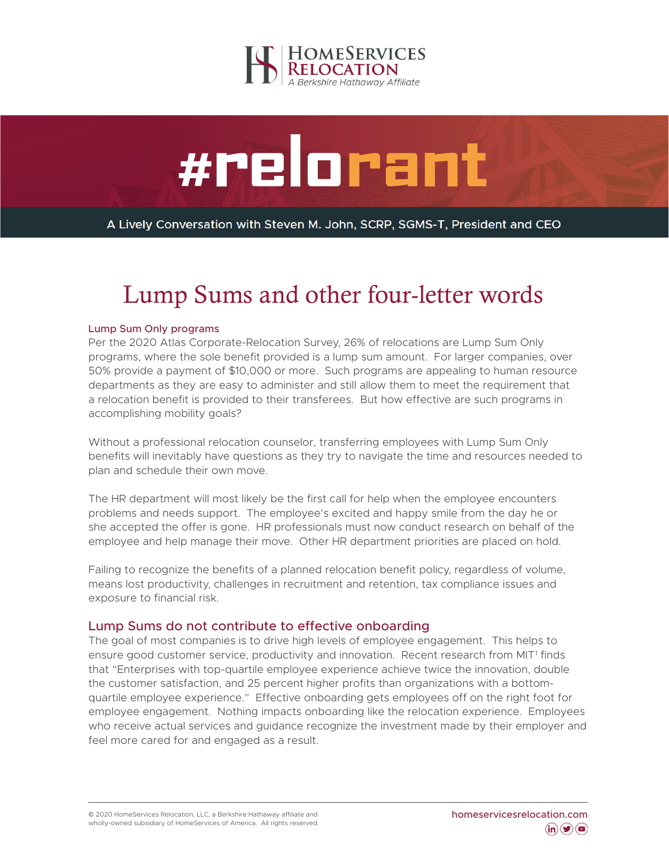

# #relorant

A Lively Conversation with Steven M. John, SCRP, SGMS-T, President and CEO

## Lump Sums and other four-letter words

#### Lump Sum Only programs

Per the 2020 Atlas Corporate-Relocation Survey, 26% of relocations are Lump Sum Only programs, where the sole benefit provided is a lump sum amount. For larger companies, over 50% provide a payment of \$10,000 or more. Such programs are appealing to human resource departments as they are easy to administer and still allow them to meet the requirement that a relocation benefit is provided to their transferees. But how effective are such programs in accomplishing mobility goals?

Without a professional relocation counselor, transferring employees with Lump Sum Only benefits will inevitably have questions as they try to navigate the time and resources needed to plan and schedule their own move.

The HR department will most likely be the first call for help when the employee encounters problems and needs support. The employee's excited and happy smile from the day he or she accepted the offer is gone. HR professionals must now conduct research on behalf of the employee and help manage their move. Other HR department priorities are placed on hold.

Failing to recognize the benefits of a planned relocation benefit policy, regardless of volume, means lost productivity, challenges in recruitment and retention, tax compliance issues and exposure to financial risk.

#### Lump Sums do not contribute to effective onboarding

The goal of most companies is to drive high levels of employee engagement. This helps to ensure good customer service, productivity and innovation. Recent research from MIT<sup>1</sup> finds that "Enterprises with top-quartile employee experience achieve twice the innovation, double the customer satisfaction, and 25 percent higher profits than organizations with a bottomquartile employee experience." Effective onboarding gets employees off on the right foot for employee engagement. Nothing impacts onboarding like the relocation experience. Employees who receive actual services and guidance recognize the investment made by their employer and feel more cared for and engaged as a result.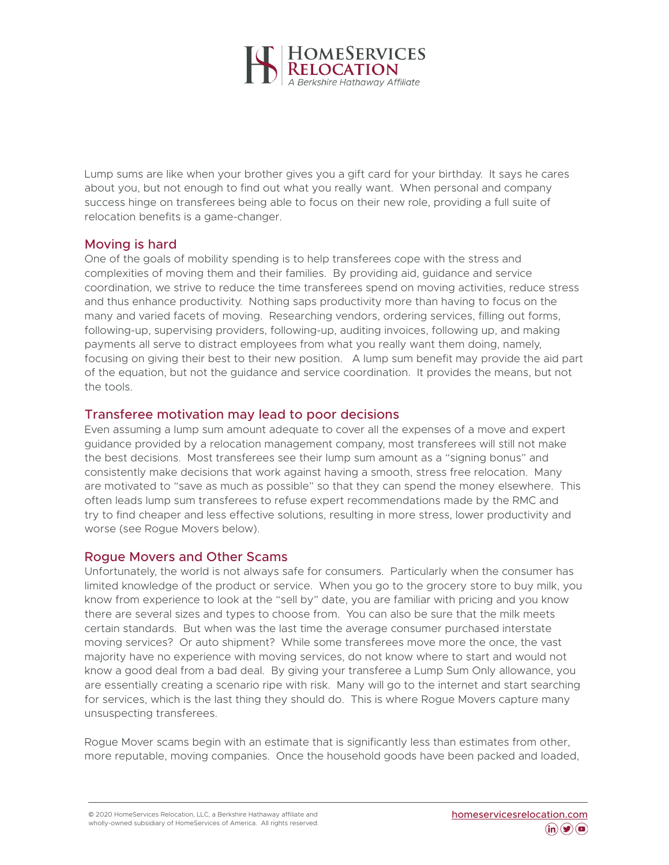

Lump sums are like when your brother gives you a gift card for your birthday. It says he cares about you, but not enough to find out what you really want. When personal and company success hinge on transferees being able to focus on their new role, providing a full suite of relocation benefits is a game-changer.

#### Moving is hard

One of the goals of mobility spending is to help transferees cope with the stress and complexities of moving them and their families. By providing aid, guidance and service coordination, we strive to reduce the time transferees spend on moving activities, reduce stress and thus enhance productivity. Nothing saps productivity more than having to focus on the many and varied facets of moving. Researching vendors, ordering services, filling out forms, following-up, supervising providers, following-up, auditing invoices, following up, and making payments all serve to distract employees from what you really want them doing, namely, focusing on giving their best to their new position. A lump sum benefit may provide the aid part of the equation, but not the guidance and service coordination. It provides the means, but not the tools.

#### Transferee motivation may lead to poor decisions

Even assuming a lump sum amount adequate to cover all the expenses of a move and expert guidance provided by a relocation management company, most transferees will still not make the best decisions. Most transferees see their lump sum amount as a "signing bonus" and consistently make decisions that work against having a smooth, stress free relocation. Many are motivated to "save as much as possible" so that they can spend the money elsewhere. This often leads lump sum transferees to refuse expert recommendations made by the RMC and try to find cheaper and less effective solutions, resulting in more stress, lower productivity and worse (see Rogue Movers below).

#### Rogue Movers and Other Scams

Unfortunately, the world is not always safe for consumers. Particularly when the consumer has limited knowledge of the product or service. When you go to the grocery store to buy milk, you know from experience to look at the "sell by" date, you are familiar with pricing and you know there are several sizes and types to choose from. You can also be sure that the milk meets certain standards. But when was the last time the average consumer purchased interstate moving services? Or auto shipment? While some transferees move more the once, the vast majority have no experience with moving services, do not know where to start and would not know a good deal from a bad deal. By giving your transferee a Lump Sum Only allowance, you are essentially creating a scenario ripe with risk. Many will go to the internet and start searching for services, which is the last thing they should do. This is where Rogue Movers capture many unsuspecting transferees.

Rogue Mover scams begin with an estimate that is significantly less than estimates from other, more reputable, moving companies. Once the household goods have been packed and loaded,